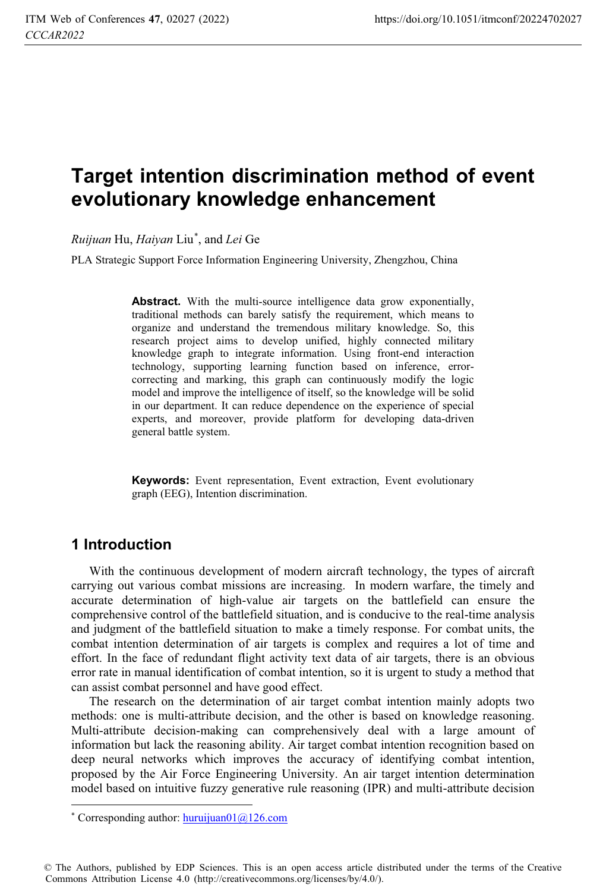## **Target intention discrimination method of event evolutionary knowledge enhancement**

*Ruijuan* Hu, *Haiyan* Liu\* , and *Lei* Ge

PLA Strategic Support Force Information Engineering University, Zhengzhou, China

**Abstract.** With the multi-source intelligence data grow exponentially, traditional methods can barely satisfy the requirement, which means to organize and understand the tremendous military knowledge. So, this research project aims to develop unified, highly connected military knowledge graph to integrate information. Using front-end interaction technology, supporting learning function based on inference, errorcorrecting and marking, this graph can continuously modify the logic model and improve the intelligence of itself, so the knowledge will be solid in our department. It can reduce dependence on the experience of special experts, and moreover, provide platform for developing data-driven general battle system.

**Keywords:** Event representation, Event extraction, Event evolutionary graph (EEG), Intention discrimination.

### **1 Introduction**

 $\overline{a}$ 

With the continuous development of modern aircraft technology, the types of aircraft carrying out various combat missions are increasing. In modern warfare, the timely and accurate determination of high-value air targets on the battlefield can ensure the comprehensive control of the battlefield situation, and is conducive to the real-time analysis and judgment of the battlefield situation to make a timely response. For combat units, the combat intention determination of air targets is complex and requires a lot of time and effort. In the face of redundant flight activity text data of air targets, there is an obvious error rate in manual identification of combat intention, so it is urgent to study a method that can assist combat personnel and have good effect.

The research on the determination of air target combat intention mainly adopts two methods: one is multi-attribute decision, and the other is based on knowledge reasoning. Multi-attribute decision-making can comprehensively deal with a large amount of information but lack the reasoning ability. Air target combat intention recognition based on deep neural networks which improves the accuracy of identifying combat intention, proposed by the Air Force Engineering University. An air target intention determination model based on intuitive fuzzy generative rule reasoning (IPR) and multi-attribute decision

© The Authors, published by EDP Sciences. This is an open access article distributed under the terms of the Creative Commons Attribution License 4.0 (http://creativecommons.org/licenses/by/4.0/).

<sup>\*</sup> Corresponding author: huruijuan01@126.com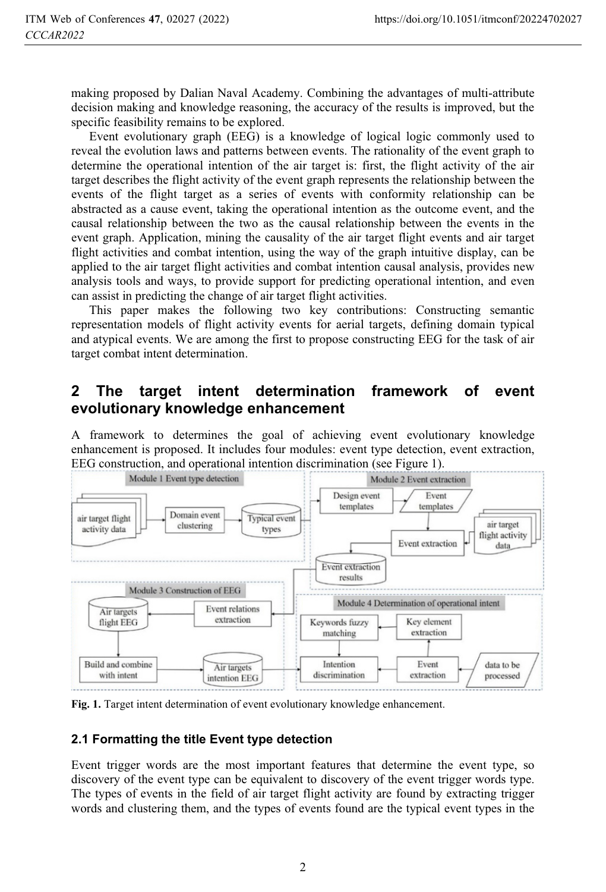making proposed by Dalian Naval Academy. Combining the advantages of multi-attribute decision making and knowledge reasoning, the accuracy of the results is improved, but the specific feasibility remains to be explored.

Event evolutionary graph (EEG) is a knowledge of logical logic commonly used to reveal the evolution laws and patterns between events. The rationality of the event graph to determine the operational intention of the air target is: first, the flight activity of the air target describes the flight activity of the event graph represents the relationship between the events of the flight target as a series of events with conformity relationship can be abstracted as a cause event, taking the operational intention as the outcome event, and the causal relationship between the two as the causal relationship between the events in the event graph. Application, mining the causality of the air target flight events and air target flight activities and combat intention, using the way of the graph intuitive display, can be applied to the air target flight activities and combat intention causal analysis, provides new analysis tools and ways, to provide support for predicting operational intention, and even can assist in predicting the change of air target flight activities.

This paper makes the following two key contributions: Constructing semantic representation models of flight activity events for aerial targets, defining domain typical and atypical events. We are among the first to propose constructing EEG for the task of air target combat intent determination.

### **2 The target intent determination framework of event evolutionary knowledge enhancement**

A framework to determines the goal of achieving event evolutionary knowledge enhancement is proposed. It includes four modules: event type detection, event extraction, EEG construction, and operational intention discrimination (see Figure 1).



**Fig. 1.** Target intent determination of event evolutionary knowledge enhancement.

#### **2.1 Formatting the title Event type detection**

Event trigger words are the most important features that determine the event type, so discovery of the event type can be equivalent to discovery of the event trigger words type. The types of events in the field of air target flight activity are found by extracting trigger words and clustering them, and the types of events found are the typical event types in the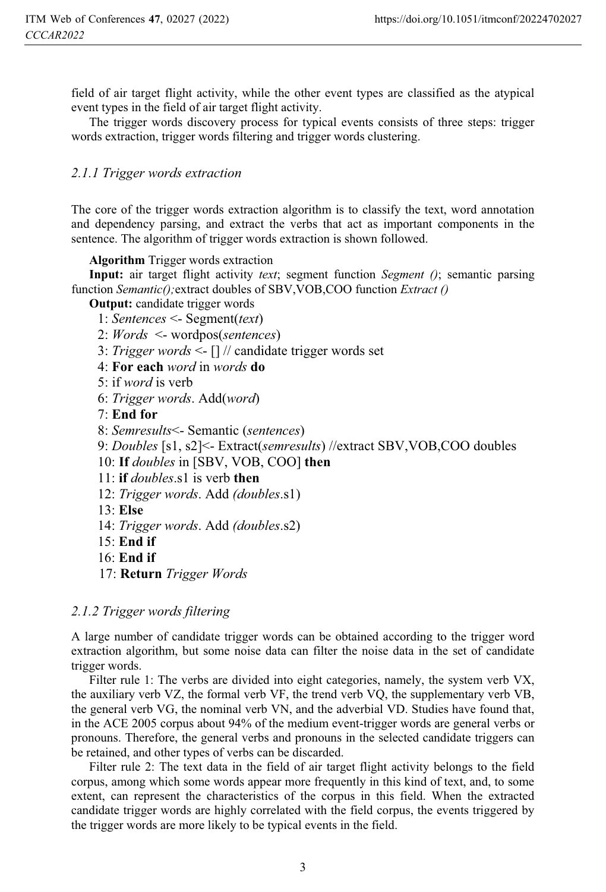field of air target flight activity, while the other event types are classified as the atypical event types in the field of air target flight activity.

The trigger words discovery process for typical events consists of three steps: trigger words extraction, trigger words filtering and trigger words clustering.

#### *2.1.1 Trigger words extraction*

The core of the trigger words extraction algorithm is to classify the text, word annotation and dependency parsing, and extract the verbs that act as important components in the sentence. The algorithm of trigger words extraction is shown followed.

**Algorithm** Trigger words extraction

**Input:** air target flight activity *text*; segment function *Segment ()*; semantic parsing function *Semantic();*extract doubles of SBV,VOB,COO function *Extract ()*

**Output:** candidate trigger words

- 1: *Sentences* <- Segment(*text*)
- 2: *Words* <- wordpos(*sentences*)
- 3: *Trigger words* <- [] // candidate trigger words set
- 4: **For each** *word* in *words* **do**
- 5: if *word* is verb
- 6: *Trigger words*. Add(*word*)
- 7: **End for**
- 8: *Semresults*<- Semantic (*sentences*)
- 9: *Doubles* [s1, s2]<- Extract(*semresults*) //extract SBV,VOB,COO doubles
- 10: **If** *doubles* in [SBV, VOB, COO] **then**
- 11: **if** *doubles*.s1 is verb **then**
- 12: *Trigger words*. Add *(doubles*.s1)
- 13: **Else**
- 14: *Trigger words*. Add *(doubles*.s2)
- $15 \cdot$  **End if**
- 16: **End if**
- 17: **Return** *Trigger Words*

#### *2.1.2 Trigger words filtering*

A large number of candidate trigger words can be obtained according to the trigger word extraction algorithm, but some noise data can filter the noise data in the set of candidate trigger words.

Filter rule 1: The verbs are divided into eight categories, namely, the system verb VX, the auxiliary verb VZ, the formal verb VF, the trend verb VQ, the supplementary verb VB, the general verb VG, the nominal verb VN, and the adverbial VD. Studies have found that, in the ACE 2005 corpus about 94% of the medium event-trigger words are general verbs or pronouns. Therefore, the general verbs and pronouns in the selected candidate triggers can be retained, and other types of verbs can be discarded.

Filter rule 2: The text data in the field of air target flight activity belongs to the field corpus, among which some words appear more frequently in this kind of text, and, to some extent, can represent the characteristics of the corpus in this field. When the extracted candidate trigger words are highly correlated with the field corpus, the events triggered by the trigger words are more likely to be typical events in the field.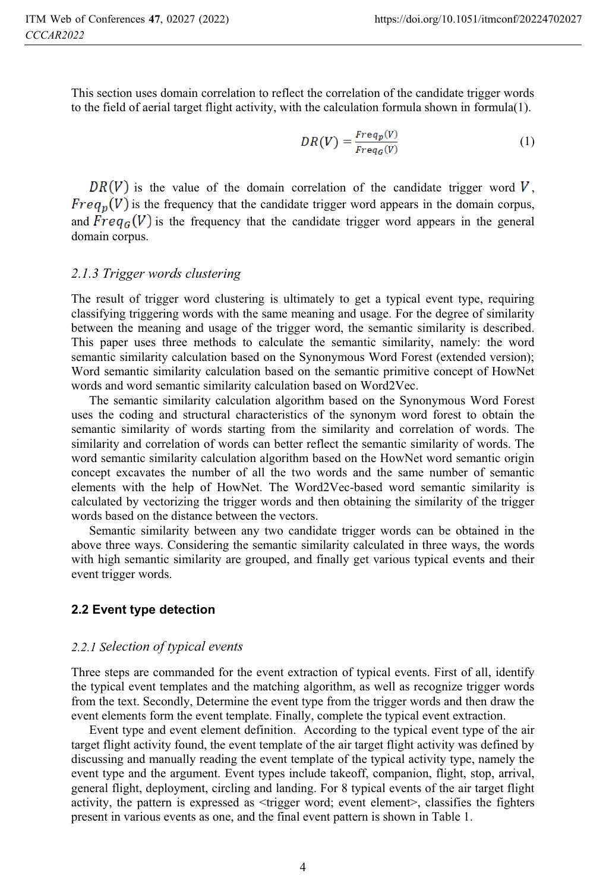This section uses domain correlation to reflect the correlation of the candidate trigger words to the field of aerial target flight activity, with the calculation formula shown in formula(1).

$$
DR(V) = \frac{Freq_p(V)}{Freq_G(V)}\tag{1}
$$

 $DR(V)$  is the value of the domain correlation of the candidate trigger word V.  $Freq_n(V)$  is the frequency that the candidate trigger word appears in the domain corpus, and  $Freq_G(V)$  is the frequency that the candidate trigger word appears in the general domain corpus.

### *2.1.3 Trigger words clustering*

The result of trigger word clustering is ultimately to get a typical event type, requiring classifying triggering words with the same meaning and usage. For the degree of similarity between the meaning and usage of the trigger word, the semantic similarity is described. This paper uses three methods to calculate the semantic similarity, namely: the word semantic similarity calculation based on the Synonymous Word Forest (extended version); Word semantic similarity calculation based on the semantic primitive concept of HowNet words and word semantic similarity calculation based on Word2Vec.

The semantic similarity calculation algorithm based on the Synonymous Word Forest uses the coding and structural characteristics of the synonym word forest to obtain the semantic similarity of words starting from the similarity and correlation of words. The similarity and correlation of words can better reflect the semantic similarity of words. The word semantic similarity calculation algorithm based on the HowNet word semantic origin concept excavates the number of all the two words and the same number of semantic elements with the help of HowNet. The Word2Vec-based word semantic similarity is calculated by vectorizing the trigger words and then obtaining the similarity of the trigger words based on the distance between the vectors.

Semantic similarity between any two candidate trigger words can be obtained in the above three ways. Considering the semantic similarity calculated in three ways, the words with high semantic similarity are grouped, and finally get various typical events and their event trigger words.

### **2.2 Event type detection**

### *2.2.1 Selection of typical events*

Three steps are commanded for the event extraction of typical events. First of all, identify the typical event templates and the matching algorithm, as well as recognize trigger words from the text. Secondly, Determine the event type from the trigger words and then draw the event elements form the event template. Finally, complete the typical event extraction.

Event type and event element definition. According to the typical event type of the air target flight activity found, the event template of the air target flight activity was defined by discussing and manually reading the event template of the typical activity type, namely the event type and the argument. Event types include takeoff, companion, flight, stop, arrival, general flight, deployment, circling and landing. For 8 typical events of the air target flight activity, the pattern is expressed as <trigger word; event element>, classifies the fighters present in various events as one, and the final event pattern is shown in Table 1.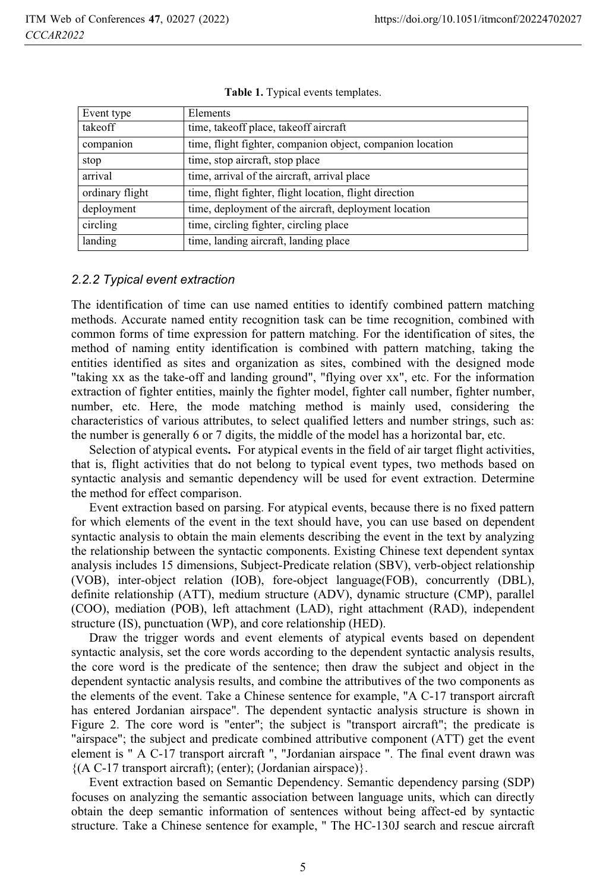| Event type      | Elements                                                   |
|-----------------|------------------------------------------------------------|
| takeoff         | time, takeoff place, takeoff aircraft                      |
| companion       | time, flight fighter, companion object, companion location |
| stop            | time, stop aircraft, stop place                            |
| arrival         | time, arrival of the aircraft, arrival place               |
| ordinary flight | time, flight fighter, flight location, flight direction    |
| deployment      | time, deployment of the aircraft, deployment location      |
| circling        | time, circling fighter, circling place                     |
| landing         | time, landing aircraft, landing place                      |

**Table 1.** Typical events templates.

## *2.2.2 Typical event extraction*

The identification of time can use named entities to identify combined pattern matching methods. Accurate named entity recognition task can be time recognition, combined with common forms of time expression for pattern matching. For the identification of sites, the method of naming entity identification is combined with pattern matching, taking the entities identified as sites and organization as sites, combined with the designed mode "taking xx as the take-off and landing ground", "flying over xx", etc. For the information extraction of fighter entities, mainly the fighter model, fighter call number, fighter number, number, etc. Here, the mode matching method is mainly used, considering the characteristics of various attributes, to select qualified letters and number strings, such as: the number is generally 6 or 7 digits, the middle of the model has a horizontal bar, etc.

Selection of atypical events**.** For atypical events in the field of air target flight activities, that is, flight activities that do not belong to typical event types, two methods based on syntactic analysis and semantic dependency will be used for event extraction. Determine the method for effect comparison.

Event extraction based on parsing. For atypical events, because there is no fixed pattern for which elements of the event in the text should have, you can use based on dependent syntactic analysis to obtain the main elements describing the event in the text by analyzing the relationship between the syntactic components. Existing Chinese text dependent syntax analysis includes 15 dimensions, Subject-Predicate relation (SBV), verb-object relationship (VOB), inter-object relation (IOB), fore-object language(FOB), concurrently (DBL), definite relationship (ATT), medium structure (ADV), dynamic structure (CMP), parallel (COO), mediation (POB), left attachment (LAD), right attachment (RAD), independent structure (IS), punctuation (WP), and core relationship (HED).

Draw the trigger words and event elements of atypical events based on dependent syntactic analysis, set the core words according to the dependent syntactic analysis results, the core word is the predicate of the sentence; then draw the subject and object in the dependent syntactic analysis results, and combine the attributives of the two components as the elements of the event. Take a Chinese sentence for example, "A C-17 transport aircraft has entered Jordanian airspace". The dependent syntactic analysis structure is shown in Figure 2. The core word is "enter"; the subject is "transport aircraft"; the predicate is "airspace"; the subject and predicate combined attributive component (ATT) get the event element is " A C-17 transport aircraft ", "Jordanian airspace ". The final event drawn was  ${(A C-17 transport aircraft)}; (enter); (Jordanian airspace)}.$ 

Event extraction based on Semantic Dependency. Semantic dependency parsing (SDP) focuses on analyzing the semantic association between language units, which can directly obtain the deep semantic information of sentences without being affect-ed by syntactic structure. Take a Chinese sentence for example, " The HC-130J search and rescue aircraft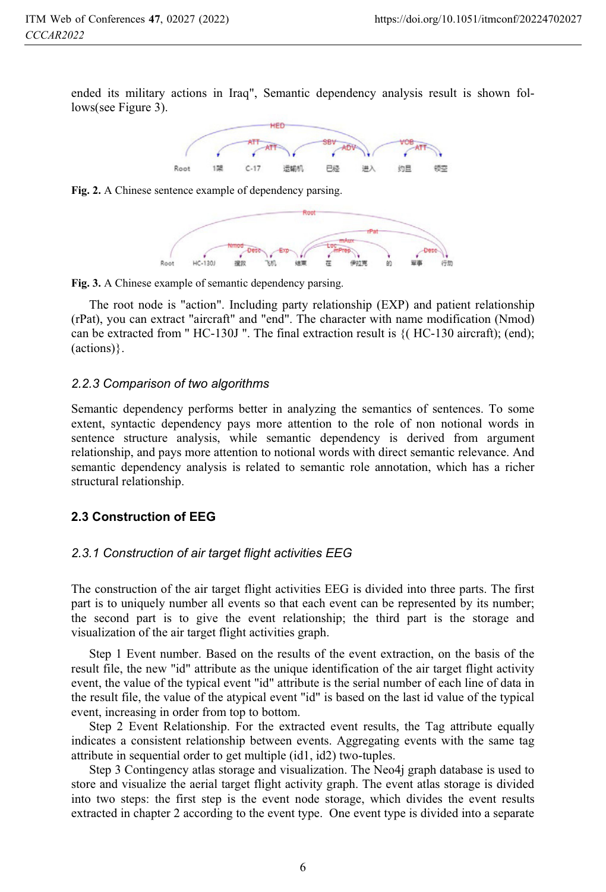ended its military actions in Iraq", Semantic dependency analysis result is shown follows(see Figure 3).



**Fig. 2.** A Chinese sentence example of dependency parsing.



**Fig. 3.** A Chinese example of semantic dependency parsing.

The root node is "action". Including party relationship (EXP) and patient relationship (rPat), you can extract "aircraft" and "end". The character with name modification (Nmod) can be extracted from "  $HC-130J$  ". The final extraction result is  $\{ (HC-130 \text{ aircraft}); (end);$ (actions)}.

# *2.2.3 Comparison of two algorithms*

Semantic dependency performs better in analyzing the semantics of sentences. To some extent, syntactic dependency pays more attention to the role of non notional words in sentence structure analysis, while semantic dependency is derived from argument relationship, and pays more attention to notional words with direct semantic relevance. And semantic dependency analysis is related to semantic role annotation, which has a richer structural relationship.

#### **2.3 Construction of EEG**

# *2.3.1 Construction of air target flight activities EEG*

The construction of the air target flight activities EEG is divided into three parts. The first part is to uniquely number all events so that each event can be represented by its number; the second part is to give the event relationship; the third part is the storage and visualization of the air target flight activities graph.

Step 1 Event number. Based on the results of the event extraction, on the basis of the result file, the new "id" attribute as the unique identification of the air target flight activity event, the value of the typical event "id" attribute is the serial number of each line of data in the result file, the value of the atypical event "id" is based on the last id value of the typical event, increasing in order from top to bottom.

Step 2 Event Relationship. For the extracted event results, the Tag attribute equally indicates a consistent relationship between events. Aggregating events with the same tag attribute in sequential order to get multiple (id1, id2) two-tuples.

Step 3 Contingency atlas storage and visualization. The Neo4j graph database is used to store and visualize the aerial target flight activity graph. The event atlas storage is divided into two steps: the first step is the event node storage, which divides the event results extracted in chapter 2 according to the event type. One event type is divided into a separate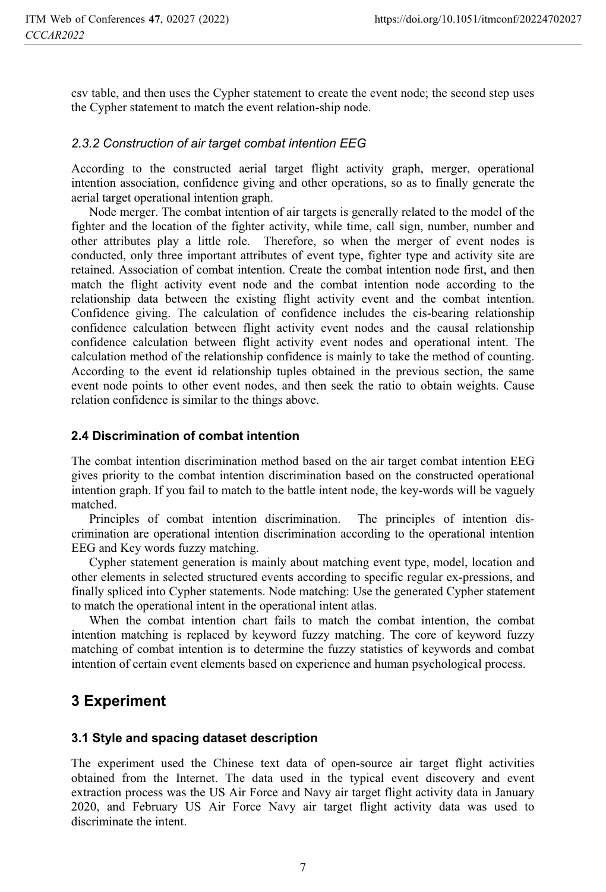csv table, and then uses the Cypher statement to create the event node; the second step uses the Cypher statement to match the event relation-ship node.

## *2.3.2 Construction of air target combat intention EEG*

According to the constructed aerial target flight activity graph, merger, operational intention association, confidence giving and other operations, so as to finally generate the aerial target operational intention graph.

Node merger. The combat intention of air targets is generally related to the model of the fighter and the location of the fighter activity, while time, call sign, number, number and other attributes play a little role. Therefore, so when the merger of event nodes is conducted, only three important attributes of event type, fighter type and activity site are retained. Association of combat intention. Create the combat intention node first, and then match the flight activity event node and the combat intention node according to the relationship data between the existing flight activity event and the combat intention. Confidence giving. The calculation of confidence includes the cis-bearing relationship confidence calculation between flight activity event nodes and the causal relationship confidence calculation between flight activity event nodes and operational intent. The calculation method of the relationship confidence is mainly to take the method of counting. According to the event id relationship tuples obtained in the previous section, the same event node points to other event nodes, and then seek the ratio to obtain weights. Cause relation confidence is similar to the things above.

#### **2.4 Discrimination of combat intention**

The combat intention discrimination method based on the air target combat intention EEG gives priority to the combat intention discrimination based on the constructed operational intention graph. If you fail to match to the battle intent node, the key-words will be vaguely matched.

Principles of combat intention discrimination. The principles of intention discrimination are operational intention discrimination according to the operational intention EEG and Key words fuzzy matching.

Cypher statement generation is mainly about matching event type, model, location and other elements in selected structured events according to specific regular ex-pressions, and finally spliced into Cypher statements. Node matching: Use the generated Cypher statement to match the operational intent in the operational intent atlas.

When the combat intention chart fails to match the combat intention, the combat intention matching is replaced by keyword fuzzy matching. The core of keyword fuzzy matching of combat intention is to determine the fuzzy statistics of keywords and combat intention of certain event elements based on experience and human psychological process.

## **3 Experiment**

#### **3.1 Style and spacing dataset description**

The experiment used the Chinese text data of open-source air target flight activities obtained from the Internet. The data used in the typical event discovery and event extraction process was the US Air Force and Navy air target flight activity data in January 2020, and February US Air Force Navy air target flight activity data was used to discriminate the intent.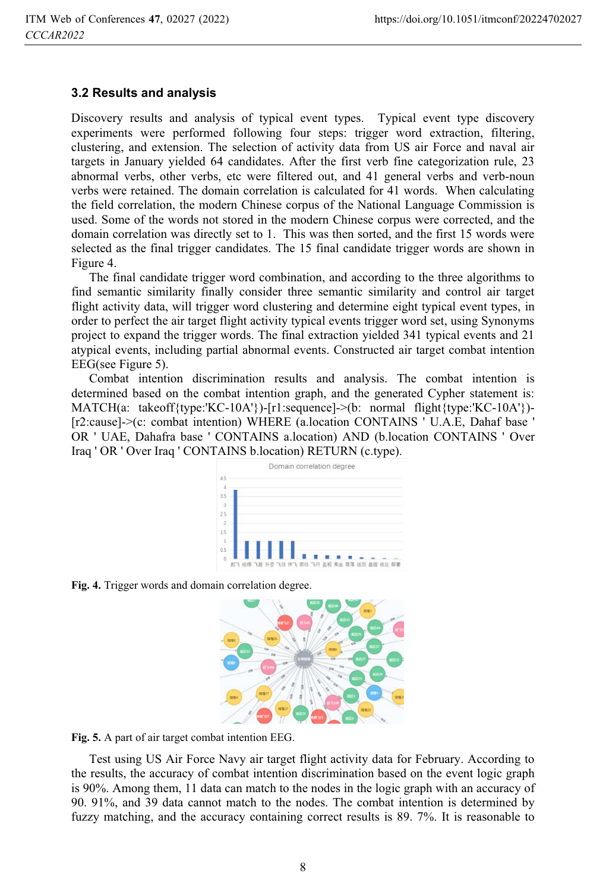#### **3.2 Results and analysis**

Discovery results and analysis of typical event types. Typical event type discovery experiments were performed following four steps: trigger word extraction, filtering, clustering, and extension. The selection of activity data from US air Force and naval air targets in January yielded 64 candidates. After the first verb fine categorization rule, 23 abnormal verbs, other verbs, etc were filtered out, and 41 general verbs and verb-noun verbs were retained. The domain correlation is calculated for 41 words. When calculating the field correlation, the modern Chinese corpus of the National Language Commission is used. Some of the words not stored in the modern Chinese corpus were corrected, and the domain correlation was directly set to 1. This was then sorted, and the first 15 words were selected as the final trigger candidates. The 15 final candidate trigger words are shown in Figure 4.

The final candidate trigger word combination, and according to the three algorithms to find semantic similarity finally consider three semantic similarity and control air target flight activity data, will trigger word clustering and determine eight typical event types, in order to perfect the air target flight activity typical events trigger word set, using Synonyms project to expand the trigger words. The final extraction yielded 341 typical events and 21 atypical events, including partial abnormal events. Constructed air target combat intention EEG(see Figure 5).

Combat intention discrimination results and analysis. The combat intention is determined based on the combat intention graph, and the generated Cypher statement is: MATCH(a: takeoff{type:'KC-10A'})-[r1:sequence]->(b: normal flight{type:'KC-10A'})-[r2:cause]->(c: combat intention) WHERE (a.location CONTAINS ' U.A.E, Dahaf base ' OR ' UAE, Dahafra base ' CONTAINS a.location) AND (b.location CONTAINS ' Over Iraq ' OR ' Over Iraq ' CONTAINS b.location) RETURN (c.type).



**Fig. 4.** Trigger words and domain correlation degree.



**Fig. 5.** A part of air target combat intention EEG.

Test using US Air Force Navy air target flight activity data for February. According to the results, the accuracy of combat intention discrimination based on the event logic graph is 90%. Among them, 11 data can match to the nodes in the logic graph with an accuracy of 90. 91%, and 39 data cannot match to the nodes. The combat intention is determined by fuzzy matching, and the accuracy containing correct results is 89. 7%. It is reasonable to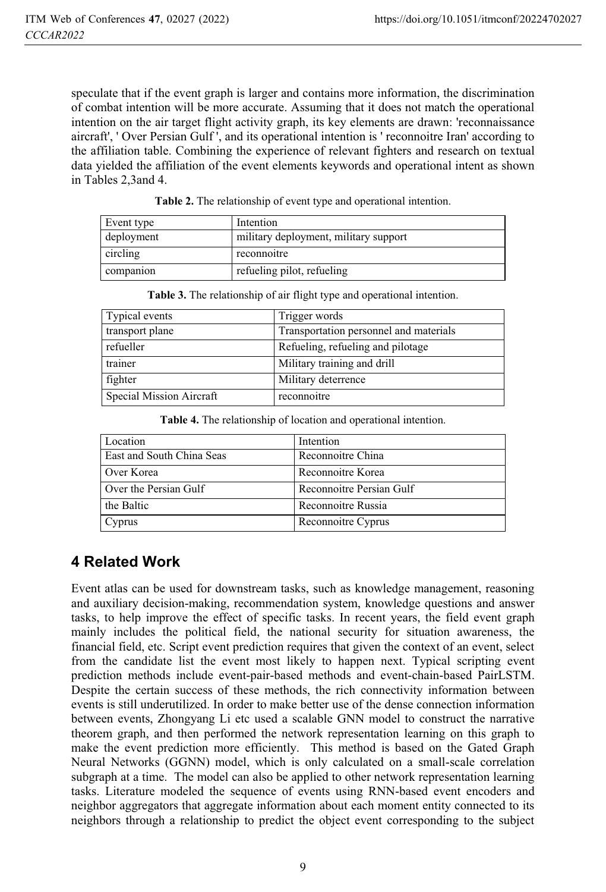speculate that if the event graph is larger and contains more information, the discrimination of combat intention will be more accurate. Assuming that it does not match the operational intention on the air target flight activity graph, its key elements are drawn: 'reconnaissance aircraft', ' Over Persian Gulf ', and its operational intention is ' reconnoitre Iran' according to the affiliation table. Combining the experience of relevant fighters and research on textual data yielded the affiliation of the event elements keywords and operational intent as shown in Tables 2,3and 4.

| Event type | Intention                             |
|------------|---------------------------------------|
| deployment | military deployment, military support |
| circling   | reconnoitre                           |
| companion  | refueling pilot, refueling            |

| <b>Table 2.</b> The relationship of event type and operational intention. |  |  |
|---------------------------------------------------------------------------|--|--|
|                                                                           |  |  |

| Table 3. The relationship of air flight type and operational intention. |               |  |
|-------------------------------------------------------------------------|---------------|--|
| Typical events                                                          | Trigger words |  |

| I ypical events          | Trigger words                          |
|--------------------------|----------------------------------------|
| transport plane          | Transportation personnel and materials |
| refueller                | Refueling, refueling and pilotage      |
| trainer                  | Military training and drill            |
| fighter                  | Military deterrence                    |
| Special Mission Aircraft | reconnoitre                            |

| Table 4. The relationship of location and operational intention. |  |  |
|------------------------------------------------------------------|--|--|
|------------------------------------------------------------------|--|--|

| Location                  | Intention                |
|---------------------------|--------------------------|
| East and South China Seas | Reconnoitre China        |
| Over Korea                | Reconnoitre Korea        |
| Over the Persian Gulf     | Reconnoitre Persian Gulf |
| the Baltic                | Reconnoitre Russia       |
| Cyprus                    | Reconnoitre Cyprus       |

## **4 Related Work**

Event atlas can be used for downstream tasks, such as knowledge management, reasoning and auxiliary decision-making, recommendation system, knowledge questions and answer tasks, to help improve the effect of specific tasks. In recent years, the field event graph mainly includes the political field, the national security for situation awareness, the financial field, etc. Script event prediction requires that given the context of an event, select from the candidate list the event most likely to happen next. Typical scripting event prediction methods include event-pair-based methods and event-chain-based PairLSTM. Despite the certain success of these methods, the rich connectivity information between events is still underutilized. In order to make better use of the dense connection information between events, Zhongyang Li etc used a scalable GNN model to construct the narrative theorem graph, and then performed the network representation learning on this graph to make the event prediction more efficiently. This method is based on the Gated Graph Neural Networks (GGNN) model, which is only calculated on a small-scale correlation subgraph at a time. The model can also be applied to other network representation learning tasks. Literature modeled the sequence of events using RNN-based event encoders and neighbor aggregators that aggregate information about each moment entity connected to its neighbors through a relationship to predict the object event corresponding to the subject